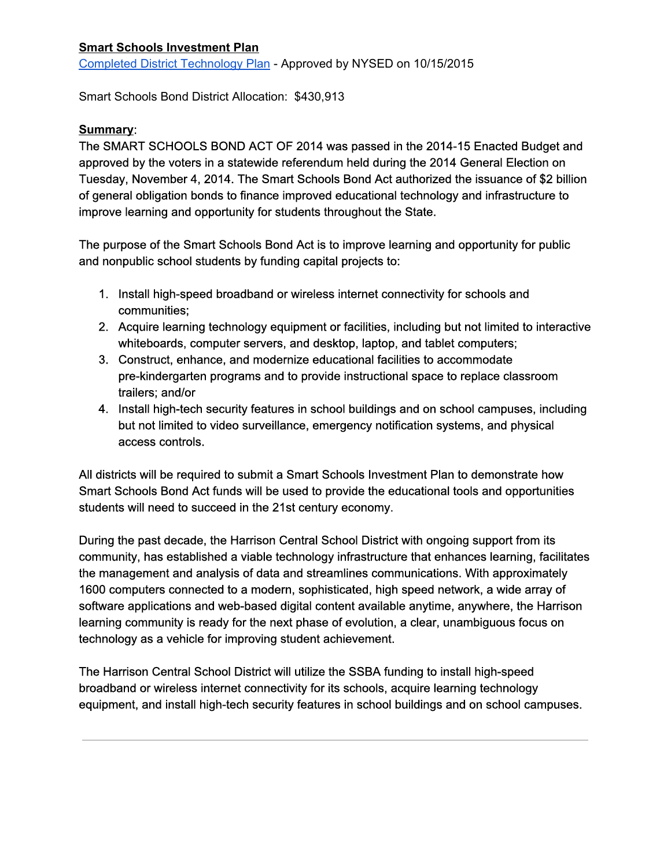#### **Smart Schools Investment Plan**

Completed District [Technology](https://drive.google.com/a/harrisoncsd.org/file/d/0B4SAr0_UFhxqN3JnU3kza0VLQWc/view?usp=sharing) Plan Approved by NYSED on 10/15/2015

Smart Schools Bond District Allocation: \$430,913

#### **Summary**:

The SMART SCHOOLS BOND ACT OF 2014 was passed in the 2014-15 Enacted Budget and approved by the voters in a statewide referendum held during the 2014 General Election on Tuesday, November 4, 2014. The Smart Schools Bond Act authorized the issuance of \$2 billion of general obligation bonds to finance improved educational technology and infrastructure to improve learning and opportunity for students throughout the State.

The purpose of the Smart Schools Bond Act is to improve learning and opportunity for public and nonpublic school students by funding capital projects to:

- 1. Install high-speed broadband or wireless internet connectivity for schools and communities;
- 2. Acquire learning technology equipment or facilities, including but not limited to interactive whiteboards, computer servers, and desktop, laptop, and tablet computers;
- 3. Construct, enhance, and modernize educational facilities to accommodate prekindergarten programs and to provide instructional space to replace classroom trailers; and/or
- 4. Install high-tech security features in school buildings and on school campuses, including but not limited to video surveillance, emergency notification systems, and physical access controls.

All districts will be required to submit a Smart Schools Investment Plan to demonstrate how Smart Schools Bond Act funds will be used to provide the educational tools and opportunities students will need to succeed in the 21st century economy.

During the past decade, the Harrison Central School District with ongoing support from its community, has established a viable technology infrastructure that enhances learning, facilitates the management and analysis of data and streamlines communications. With approximately 1600 computers connected to a modern, sophisticated, high speed network, a wide array of software applications and web-based digital content available anytime, anywhere, the Harrison learning community is ready for the next phase of evolution, a clear, unambiguous focus on technology as a vehicle for improving student achievement.

The Harrison Central School District will utilize the SSBA funding to install high-speed broadband or wireless internet connectivity for its schools, acquire learning technology equipment, and install high-tech security features in school buildings and on school campuses.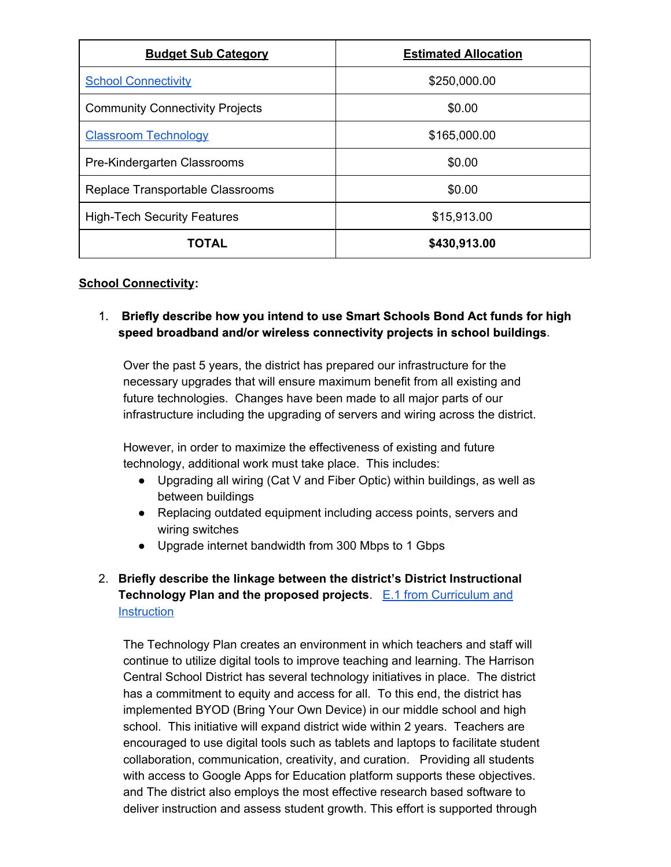| <b>Budget Sub Category</b>             | <b>Estimated Allocation</b> |
|----------------------------------------|-----------------------------|
| <b>School Connectivity</b>             | \$250,000.00                |
| <b>Community Connectivity Projects</b> | \$0.00                      |
| <b>Classroom Technology</b>            | \$165,000.00                |
| Pre-Kindergarten Classrooms            | \$0.00                      |
| Replace Transportable Classrooms       | \$0.00                      |
| <b>High-Tech Security Features</b>     | \$15,913.00                 |
| TOTAL                                  | \$430,913.00                |

#### <span id="page-1-0"></span>**School Connectivity:**

## 1. **Briefly describe how you intend to use Smart Schools Bond Act funds for high speed broadband and/or wireless connectivity projects in school buildings**.

Over the past 5 years, the district has prepared our infrastructure for the necessary upgrades that will ensure maximum benefit from all existing and future technologies. Changes have been made to all major parts of our infrastructure including the upgrading of servers and wiring across the district.

However, in order to maximize the effectiveness of existing and future technology, additional work must take place. This includes:

- Upgrading all wiring (Cat V and Fiber Optic) within buildings, as well as between buildings
- Replacing outdated equipment including access points, servers and wiring switches
- Upgrade internet bandwidth from 300 Mbps to 1 Gbps
- 2. **Briefly describe the linkage between the district's District Instructional Technology Plan and the proposed projects.** E.1 from [Curriculum](https://docs.google.com/a/harrisoncsd.org/document/d/1Vlnmt1-BdIyCoolwgkif8zquC1tvie4fmUT6-yyEkFU/edit?usp=sharing) and **[Instruction](https://docs.google.com/a/harrisoncsd.org/document/d/1Vlnmt1-BdIyCoolwgkif8zquC1tvie4fmUT6-yyEkFU/edit?usp=sharing)**

The Technology Plan creates an environment in which teachers and staff will continue to utilize digital tools to improve teaching and learning. The Harrison Central School District has several technology initiatives in place. The district has a commitment to equity and access for all. To this end, the district has implemented BYOD (Bring Your Own Device) in our middle school and high school. This initiative will expand district wide within 2 years. Teachers are encouraged to use digital tools such as tablets and laptops to facilitate student collaboration, communication, creativity, and curation. Providing all students with access to Google Apps for Education platform supports these objectives. and The district also employs the most effective research based software to deliver instruction and assess student growth. This effort is supported through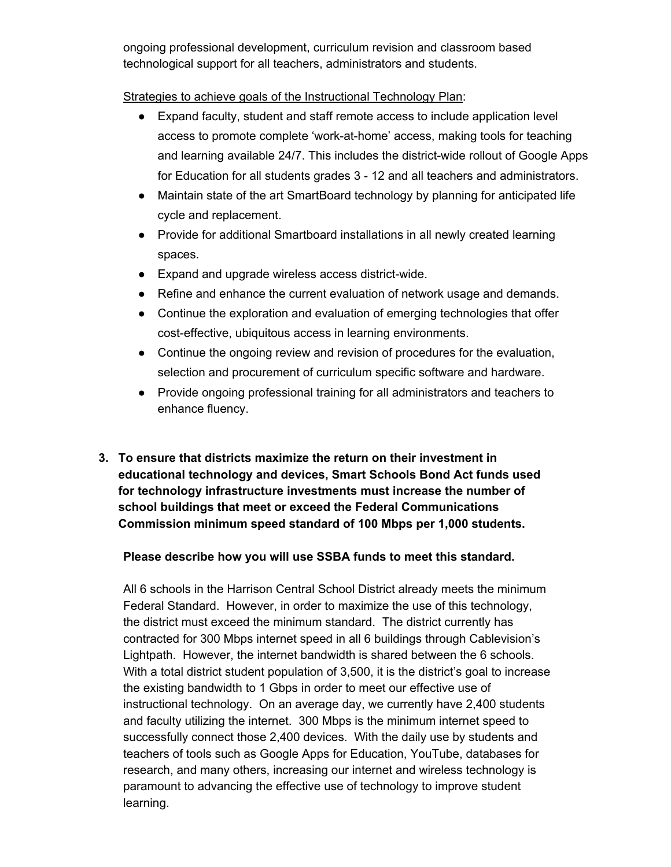ongoing professional development, curriculum revision and classroom based technological support for all teachers, administrators and students.

Strategies to achieve goals of the Instructional Technology Plan:

- Expand faculty, student and staff remote access to include application level access to promote complete 'work-at-home' access, making tools for teaching and learning available 24/7. This includes the district-wide rollout of Google Apps for Education for all students grades 3 - 12 and all teachers and administrators.
- Maintain state of the art SmartBoard technology by planning for anticipated life cycle and replacement.
- Provide for additional Smartboard installations in all newly created learning spaces.
- Expand and upgrade wireless access district-wide.
- Refine and enhance the current evaluation of network usage and demands.
- Continue the exploration and evaluation of emerging technologies that offer cost-effective, ubiquitous access in learning environments.
- Continue the ongoing review and revision of procedures for the evaluation, selection and procurement of curriculum specific software and hardware.
- Provide ongoing professional training for all administrators and teachers to enhance fluency.
- **3. To ensure that districts maximize the return on their investment in educational technology and devices, Smart Schools Bond Act funds used for technology infrastructure investments must increase the number of school buildings that meet or exceed the Federal Communications Commission minimum speed standard of 100 Mbps per 1,000 students.**

### **Please describe how you will use SSBA funds to meet this standard.**

All 6 schools in the Harrison Central School District already meets the minimum Federal Standard. However, in order to maximize the use of this technology, the district must exceed the minimum standard. The district currently has contracted for 300 Mbps internet speed in all 6 buildings through Cablevision's Lightpath. However, the internet bandwidth is shared between the 6 schools. With a total district student population of 3,500, it is the district's goal to increase the existing bandwidth to 1 Gbps in order to meet our effective use of instructional technology. On an average day, we currently have 2,400 students and faculty utilizing the internet. 300 Mbps is the minimum internet speed to successfully connect those 2,400 devices. With the daily use by students and teachers of tools such as Google Apps for Education, YouTube, databases for research, and many others, increasing our internet and wireless technology is paramount to advancing the effective use of technology to improve student learning.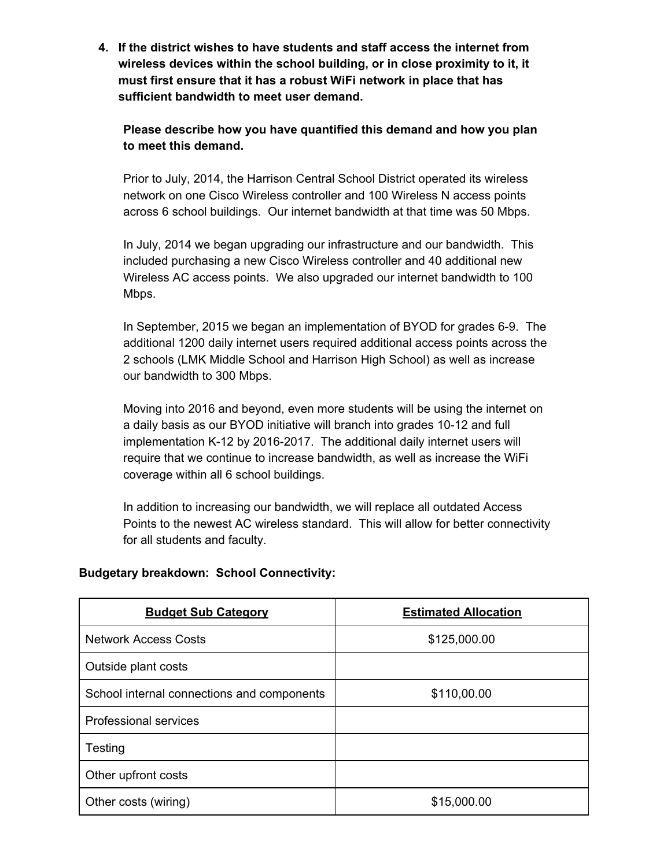<span id="page-3-0"></span>**4. If the district wishes to have students and staff access the internet from wireless devices within the school building, or in close proximity to it, it must first ensure that it has a robust WiFi network in place that has sufficient bandwidth to meet user demand.**

**Please describe how you have quantified this demand and how you plan to meet this demand.**

Prior to July, 2014, the Harrison Central School District operated its wireless network on one Cisco Wireless controller and 100 Wireless N access points across 6 school buildings. Our internet bandwidth at that time was 50 Mbps.

In July, 2014 we began upgrading our infrastructure and our bandwidth. This included purchasing a new Cisco Wireless controller and 40 additional new Wireless AC access points. We also upgraded our internet bandwidth to 100 Mbps.

In September, 2015 we began an implementation of BYOD for grades 6-9. The additional 1200 daily internet users required additional access points across the 2 schools (LMK Middle School and Harrison High School) as well as increase our bandwidth to 300 Mbps.

Moving into 2016 and beyond, even more students will be using the internet on a daily basis as our BYOD initiative will branch into grades 10-12 and full implementation K-12 by 2016-2017. The additional daily internet users will require that we continue to increase bandwidth, as well as increase the WiFi coverage within all 6 school buildings.

In addition to increasing our bandwidth, we will replace all outdated Access Points to the newest AC wireless standard. This will allow for better connectivity for all students and faculty.

| <b>Budget Sub Category</b>                 | <b>Estimated Allocation</b> |
|--------------------------------------------|-----------------------------|
| Network Access Costs                       | \$125,000.00                |
| Outside plant costs                        |                             |
| School internal connections and components | \$110,00.00                 |
| <b>Professional services</b>               |                             |
| Testing                                    |                             |
| Other upfront costs                        |                             |
| Other costs (wiring)                       | \$15,000.00                 |

### **Budgetary breakdown: School Connectivity:**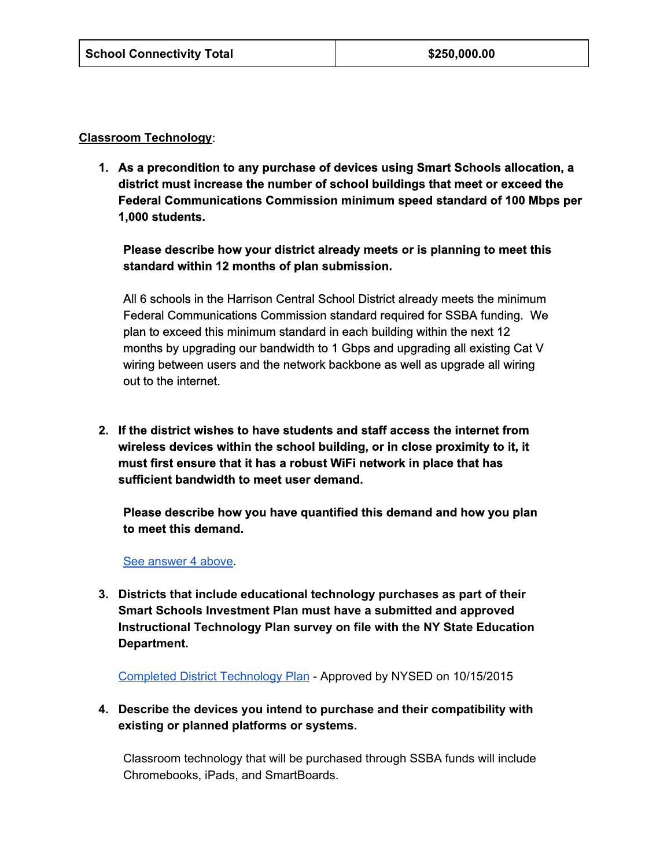<span id="page-4-0"></span>**Classroom Technology**:

**1. As a precondition to any purchase of devices using Smart Schools allocation, a district must increase the number of school buildings that meet or exceed the Federal Communications Commission minimum speed standard of 100 Mbps per 1,000 students.**

**Please describe how your district already meets or is planning to meet this standard within 12 months of plan submission.**

All 6 schools in the Harrison Central School District already meets the minimum Federal Communications Commission standard required for SSBA funding. We plan to exceed this minimum standard in each building within the next 12 months by upgrading our bandwidth to 1 Gbps and upgrading all existing Cat V wiring between users and the network backbone as well as upgrade all wiring out to the internet.

**2. If the district wishes to have students and staff access the internet from wireless devices within the school building, or in close proximity to it, it must first ensure that it has a robust WiFi network in place that has sufficient bandwidth to meet user demand.**

**Please describe how you have quantified this demand and how you plan to meet this demand.**

#### See [answer](#page-3-0) 4 above.

**3. Districts that include educational technology purchases as part of their Smart Schools Investment Plan must have a submitted and approved Instructional Technology Plan survey on file with the NY State Education Department.**

Completed District [Technology](https://drive.google.com/a/harrisoncsd.org/file/d/0B4SAr0_UFhxqN3JnU3kza0VLQWc/view?usp=sharing) Plan Approved by NYSED on 10/15/2015

**4. Describe the devices you intend to purchase and their compatibility with existing or planned platforms or systems.**

Classroom technology that will be purchased through SSBA funds will include Chromebooks, iPads, and SmartBoards.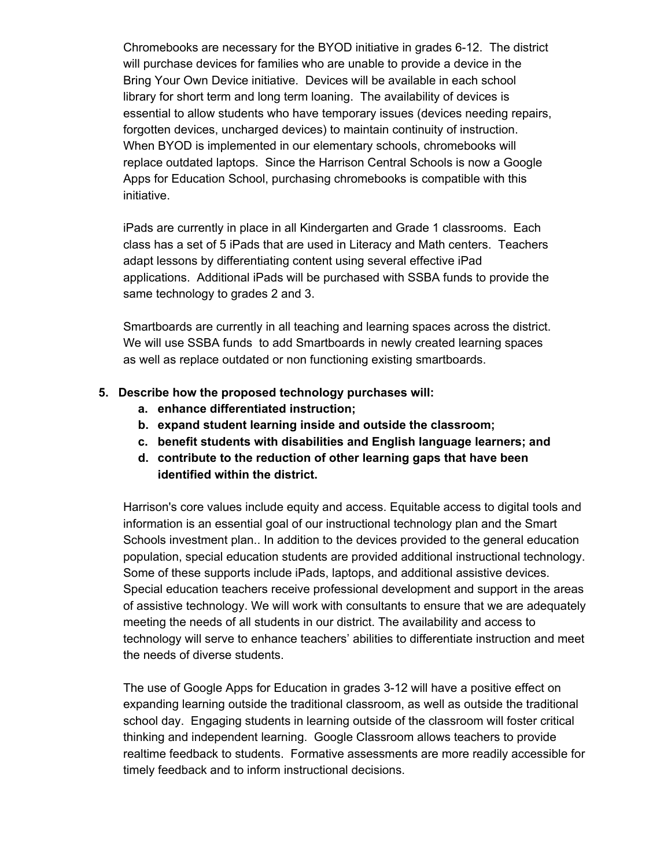Chromebooks are necessary for the BYOD initiative in grades 6-12. The district will purchase devices for families who are unable to provide a device in the Bring Your Own Device initiative. Devices will be available in each school library for short term and long term loaning. The availability of devices is essential to allow students who have temporary issues (devices needing repairs, forgotten devices, uncharged devices) to maintain continuity of instruction. When BYOD is implemented in our elementary schools, chromebooks will replace outdated laptops. Since the Harrison Central Schools is now a Google Apps for Education School, purchasing chromebooks is compatible with this initiative.

iPads are currently in place in all Kindergarten and Grade 1 classrooms. Each class has a set of 5 iPads that are used in Literacy and Math centers. Teachers adapt lessons by differentiating content using several effective iPad applications. Additional iPads will be purchased with SSBA funds to provide the same technology to grades 2 and 3.

Smartboards are currently in all teaching and learning spaces across the district. We will use SSBA funds to add Smartboards in newly created learning spaces as well as replace outdated or non functioning existing smartboards.

### **5. Describe how the proposed technology purchases will:**

- **a. enhance differentiated instruction;**
- **b. expand student learning inside and outside the classroom;**
- **c. benefit students with disabilities and English language learners; and**
- **d. contribute to the reduction of other learning gaps that have been identified within the district.**

Harrison's core values include equity and access. Equitable access to digital tools and information is an essential goal of our instructional technology plan and the Smart Schools investment plan.. In addition to the devices provided to the general education population, special education students are provided additional instructional technology. Some of these supports include iPads, laptops, and additional assistive devices. Special education teachers receive professional development and support in the areas of assistive technology. We will work with consultants to ensure that we are adequately meeting the needs of all students in our district. The availability and access to technology will serve to enhance teachers' abilities to differentiate instruction and meet the needs of diverse students.

The use of Google Apps for Education in grades 312 will have a positive effect on expanding learning outside the traditional classroom, as well as outside the traditional school day. Engaging students in learning outside of the classroom will foster critical thinking and independent learning. Google Classroom allows teachers to provide realtime feedback to students. Formative assessments are more readily accessible for timely feedback and to inform instructional decisions.